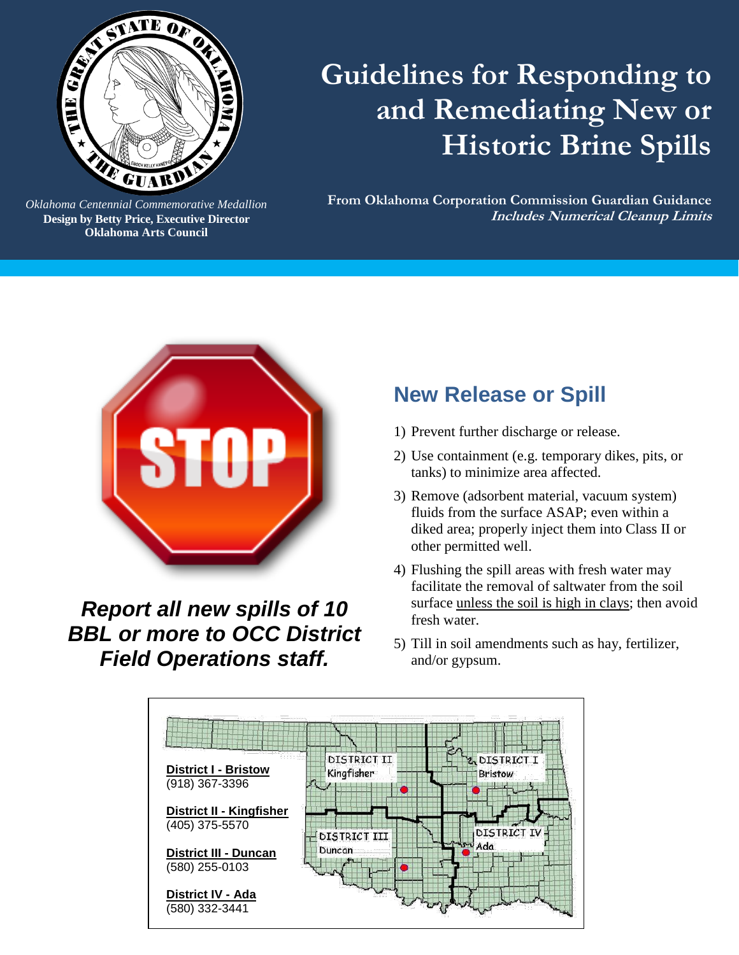

*Oklahoma Centennial Commemorative Medallion* **Design by Betty Price, Executive Director Oklahoma Arts Council**

*Oklahoma Arts Council*

# **Guidelines for Responding to and Remediating New or Historic Brine Spills**

**From Oklahoma Corporation Commission Guardian Guidance Includes Numerical Cleanup Limits** 



*Report all new spills of 10 BBL or more to OCC District Field Operations staff.*

## **New Release or Spill**

- 1) Prevent further discharge or release.
- 2) Use containment (e.g. temporary dikes, pits, or tanks) to minimize area affected.
- 3) Remove (adsorbent material, vacuum system) fluids from the surface ASAP; even within a diked area; properly inject them into Class II or other permitted well.
- 4) Flushing the spill areas with fresh water may facilitate the removal of saltwater from the soil surface unless the soil is high in clays; then avoid fresh water.
- 5) Till in soil amendments such as hay, fertilizer, and/or gypsum.

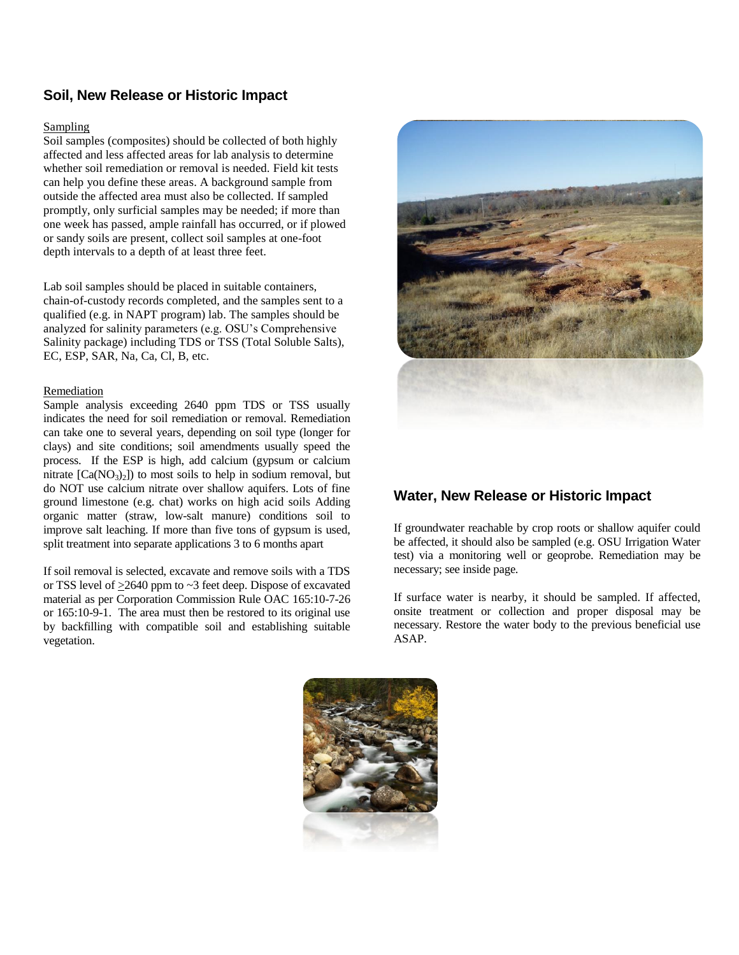### **Soil, New Release or Historic Impact**

#### Sampling

Soil samples (composites) should be collected of both highly affected and less affected areas for lab analysis to determine whether soil remediation or removal is needed. Field kit tests can help you define these areas. A background sample from outside the affected area must also be collected. If sampled promptly, only surficial samples may be needed; if more than one week has passed, ample rainfall has occurred, or if plowed or sandy soils are present, collect soil samples at one-foot depth intervals to a depth of at least three feet.

Lab soil samples should be placed in suitable containers, chain-of-custody records completed, and the samples sent to a qualified (e.g. in NAPT program) lab. The samples should be analyzed for salinity parameters (e.g. OSU's Comprehensive Salinity package) including TDS or TSS (Total Soluble Salts), EC, ESP, SAR, Na, Ca, Cl, B, etc.

#### Remediation

Sample analysis exceeding 2640 ppm TDS or TSS usually indicates the need for soil remediation or removal. Remediation can take one to several years, depending on soil type (longer for clays) and site conditions; soil amendments usually speed the process. If the ESP is high, add calcium (gypsum or calcium nitrate  $[Ca(NO<sub>3</sub>)<sub>2</sub>]$  to most soils to help in sodium removal, but do NOT use calcium nitrate over shallow aquifers. Lots of fine ground limestone (e.g. chat) works on high acid soils Adding organic matter (straw, low-salt manure) conditions soil to improve salt leaching. If more than five tons of gypsum is used, split treatment into separate applications 3 to 6 months apart

If soil removal is selected, excavate and remove soils with a TDS or TSS level of  $\geq$ 2640 ppm to  $\sim$ 3 feet deep. Dispose of excavated material as per Corporation Commission Rule OAC 165:10-7-26 or 165:10-9-1. The area must then be restored to its original use by backfilling with compatible soil and establishing suitable vegetation.



#### **Water, New Release or Historic Impact**

If groundwater reachable by crop roots or shallow aquifer could be affected, it should also be sampled (e.g. OSU Irrigation Water test) via a monitoring well or geoprobe. Remediation may be necessary; see inside page.

If surface water is nearby, it should be sampled. If affected, onsite treatment or collection and proper disposal may be necessary. Restore the water body to the previous beneficial use ASAP.

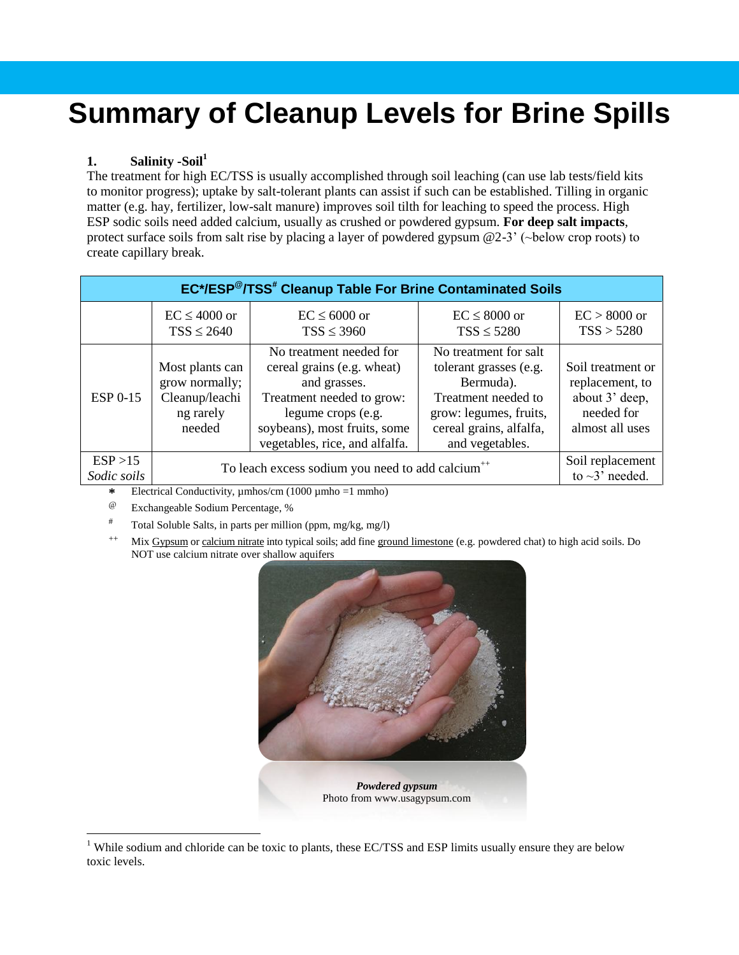# **Summary of Cleanup Levels for Brine Spills**

### **1. Salinity -Soil<sup>1</sup>**

The treatment for high EC/TSS is usually accomplished through soil leaching (can use lab tests/field kits to monitor progress); uptake by salt-tolerant plants can assist if such can be established. Tilling in organic matter (e.g. hay, fertilizer, low-salt manure) improves soil tilth for leaching to speed the process. High ESP sodic soils need added calcium, usually as crushed or powdered gypsum. **For deep salt impacts**, protect surface soils from salt rise by placing a layer of powdered gypsum @2-3' (~below crop roots) to create capillary break.

| EC*/ESP <sup>@</sup> /TSS <sup>#</sup> Cleanup Table For Brine Contaminated Soils |                                                                            |                                                                                                                                                                                            |                                                                                                                                                             |                                                                                         |  |  |  |  |  |
|-----------------------------------------------------------------------------------|----------------------------------------------------------------------------|--------------------------------------------------------------------------------------------------------------------------------------------------------------------------------------------|-------------------------------------------------------------------------------------------------------------------------------------------------------------|-----------------------------------------------------------------------------------------|--|--|--|--|--|
|                                                                                   | $EC \leq 4000$ or                                                          | $EC \leq 6000$ or                                                                                                                                                                          | $EC \leq 8000$ or                                                                                                                                           | $EC > 8000$ or                                                                          |  |  |  |  |  |
|                                                                                   | $TSS \leq 2640$                                                            | $TSS \leq 3960$                                                                                                                                                                            | $TSS \leq 5280$                                                                                                                                             | TSS > 5280                                                                              |  |  |  |  |  |
| <b>ESP 0-15</b>                                                                   | Most plants can<br>grow normally;<br>Cleanup/leachi<br>ng rarely<br>needed | No treatment needed for<br>cereal grains (e.g. wheat)<br>and grasses.<br>Treatment needed to grow:<br>legume crops (e.g.<br>soybeans), most fruits, some<br>vegetables, rice, and alfalfa. | No treatment for salt<br>tolerant grasses (e.g.<br>Bermuda).<br>Treatment needed to<br>grow: legumes, fruits,<br>cereal grains, alfalfa,<br>and vegetables. | Soil treatment or<br>replacement, to<br>about 3' deep,<br>needed for<br>almost all uses |  |  |  |  |  |
| ESP >15                                                                           | To leach excess sodium you need to add calcium <sup>++</sup>               | Soil replacement                                                                                                                                                                           |                                                                                                                                                             |                                                                                         |  |  |  |  |  |
| Sodic soils                                                                       | $\pm$ FL $\pm$ 1.0 1.2 $\pm$ 1.2 (1000 1.1.1.1)                            | to $\sim$ 3' needed.                                                                                                                                                                       |                                                                                                                                                             |                                                                                         |  |  |  |  |  |

**\*** Electrical Conductivity, µmhos/cm (1000 µmho =1 mmho)

- Exchangeable Sodium Percentage, %
- <sup>#</sup> Total Soluble Salts, in parts per million (ppm, mg/kg, mg/l)
- <sup>++</sup> Mix Gypsum or calcium nitrate into typical soils; add fine ground limestone (e.g. powdered chat) to high acid soils. Do NOT use calcium nitrate over shallow aquifers



 $\overline{a}$ <sup>1</sup> While sodium and chloride can be toxic to plants, these EC/TSS and ESP limits usually ensure they are below toxic levels.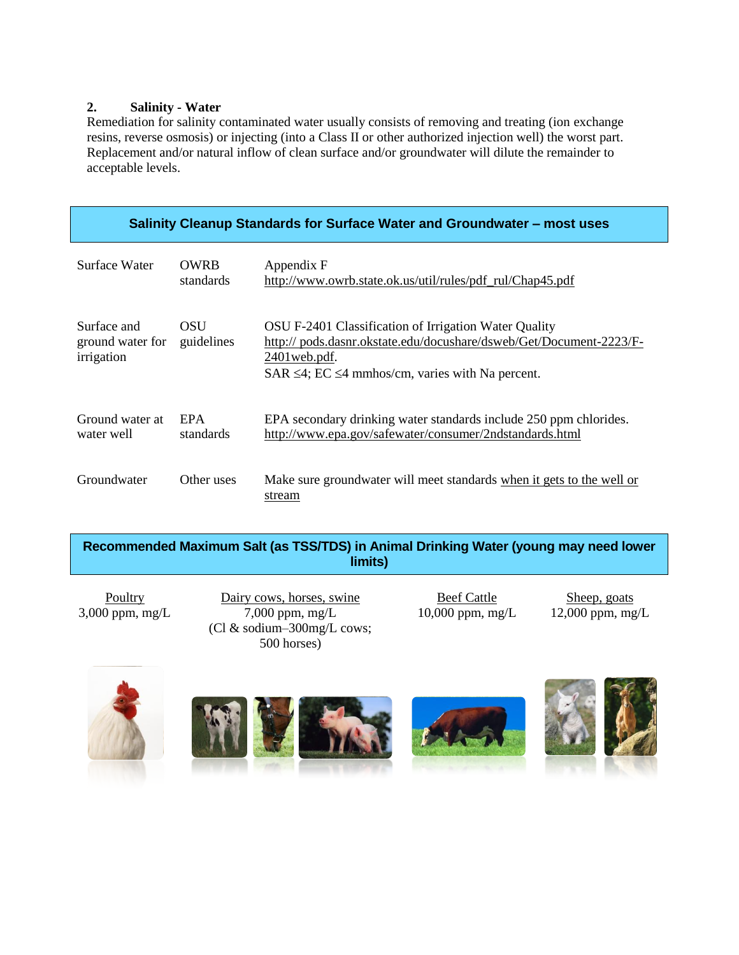### **2. Salinity - Water**

Remediation for salinity contaminated water usually consists of removing and treating (ion exchange resins, reverse osmosis) or injecting (into a Class II or other authorized injection well) the worst part. Replacement and/or natural inflow of clean surface and/or groundwater will dilute the remainder to acceptable levels.

| Salinity Cleanup Standards for Surface Water and Groundwater – most uses |                          |                                                                                                                                                                                                             |  |  |  |  |  |
|--------------------------------------------------------------------------|--------------------------|-------------------------------------------------------------------------------------------------------------------------------------------------------------------------------------------------------------|--|--|--|--|--|
| Surface Water                                                            | <b>OWRB</b><br>standards | Appendix F<br>http://www.owrb.state.ok.us/util/rules/pdf_rul/Chap45.pdf                                                                                                                                     |  |  |  |  |  |
| Surface and<br>ground water for<br>irrigation                            | <b>OSU</b><br>guidelines | OSU F-2401 Classification of Irrigation Water Quality<br>http://pods.dasnr.okstate.edu/docushare/dsweb/Get/Document-2223/F-<br>2401 web.pdf.<br>SAR $\leq$ 4; EC $\leq$ 4 mmhos/cm, varies with Na percent. |  |  |  |  |  |
| Ground water at<br>water well                                            | <b>EPA</b><br>standards  | EPA secondary drinking water standards include 250 ppm chlorides.<br>http://www.epa.gov/safewater/consumer/2ndstandards.html                                                                                |  |  |  |  |  |
| Groundwater                                                              | Other uses               | Make sure groundwater will meet standards when it gets to the well or<br>stream                                                                                                                             |  |  |  |  |  |

| Recommended Maximum Salt (as TSS/TDS) in Animal Drinking Water (young may need lower |
|--------------------------------------------------------------------------------------|
| limits)                                                                              |

Poultry Dairy cows, horses, swine Beef Cattle Sheep, goats  $3,000$  ppm, mg/L  $7,000$  ppm, mg/L (Cl & sodium–300mg/L cows; 500 horses)

10,000 ppm, mg/L 12,000 ppm, mg/L